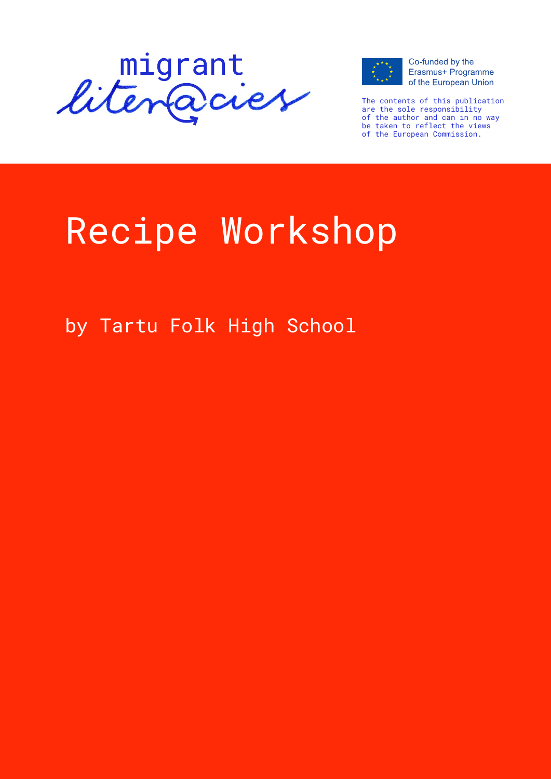



Co-funded by the Erasmus+ Programme of the European Union

The contents of this publication are the sole responsibility of the author and can in no way be taken to reflect the views of the European Commission.

# Recipe Workshop

by Tartu Folk High School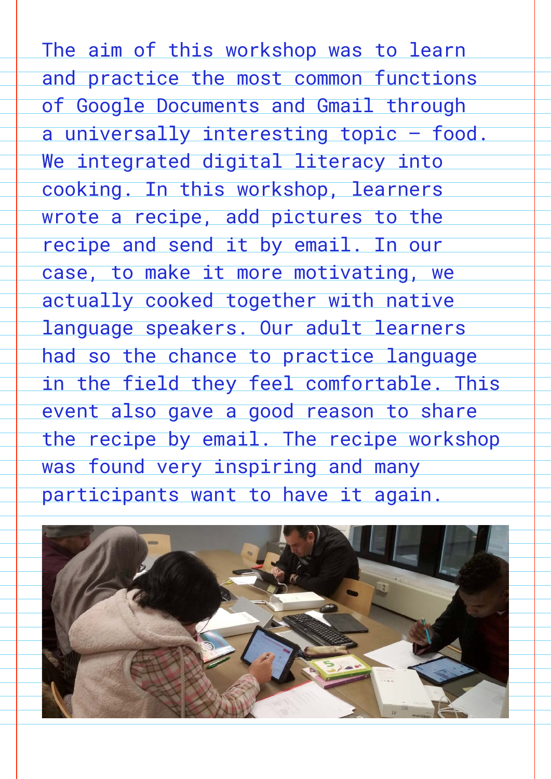The aim of this workshop was to learn and practice the most common functions of Google Documents and Gmail through a universally interesting topic - food. We integrated digital literacy into cooking. In this workshop, learners wrote a recipe, add pictures to the recipe and send it by email. In our case, to make it more motivating, we actually cooked together with native language speakers. Our adult learners had so the chance to practice language in the field they feel comfortable. This event also gave a good reason to share the recipe by email. The recipe workshop was found very inspiring and many participants want to have it again.

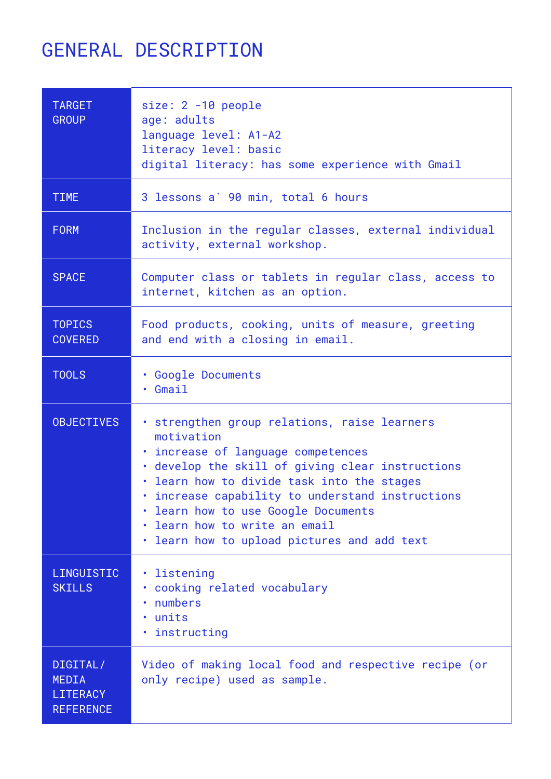# general DESCRIPTION

| <b>TARGET</b><br><b>GROUP</b>                            | size: 2 -10 people<br>age: adults<br>language level: A1-A2<br>literacy level: basic<br>digital literacy: has some experience with Gmail                                                                                                                                                                                                                                 |
|----------------------------------------------------------|-------------------------------------------------------------------------------------------------------------------------------------------------------------------------------------------------------------------------------------------------------------------------------------------------------------------------------------------------------------------------|
| <b>TIME</b>                                              | 3 lessons a' 90 min, total 6 hours                                                                                                                                                                                                                                                                                                                                      |
| <b>FORM</b>                                              | Inclusion in the regular classes, external individual<br>activity, external workshop.                                                                                                                                                                                                                                                                                   |
| <b>SPACE</b>                                             | Computer class or tablets in regular class, access to<br>internet, kitchen as an option.                                                                                                                                                                                                                                                                                |
| <b>TOPICS</b><br><b>COVERED</b>                          | Food products, cooking, units of measure, greeting<br>and end with a closing in email.                                                                                                                                                                                                                                                                                  |
| <b>TOOLS</b>                                             | . Google Documents<br>Gmail                                                                                                                                                                                                                                                                                                                                             |
| <b>OBJECTIVES</b>                                        | · strengthen group relations, raise learners<br>motivation<br>. increase of language competences<br>. develop the skill of giving clear instructions<br>learn how to divide task into the stages<br>. increase capability to understand instructions<br>. learn how to use Google Documents<br>learn how to write an email<br>learn how to upload pictures and add text |
| LINGUISTIC<br><b>SKILLS</b>                              | listening<br>cooking related vocabulary<br>numbers<br>units<br>· instructing                                                                                                                                                                                                                                                                                            |
| DIGITAL/<br>MEDIA<br><b>LITERACY</b><br><b>REFERENCE</b> | Video of making local food and respective recipe (or<br>only recipe) used as sample.                                                                                                                                                                                                                                                                                    |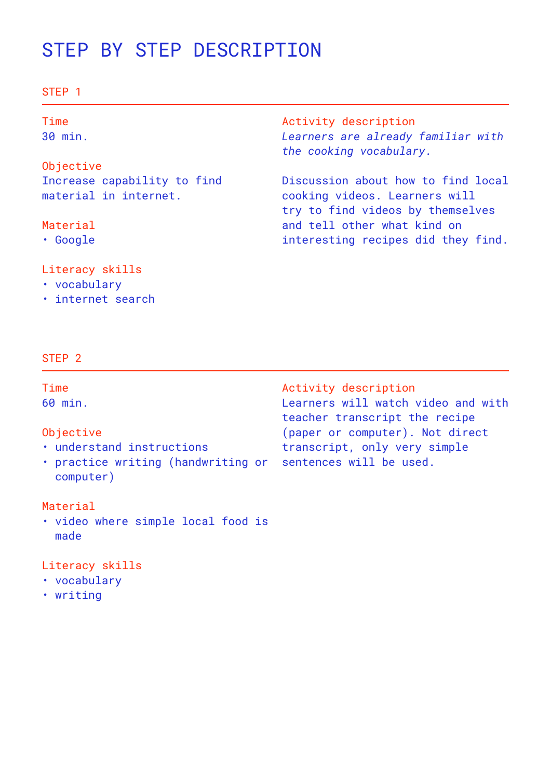# STEP BY STEP DESCRIPTION

#### STEP 1

| Time<br>30 min.             | Activity description<br>Learners are already familiar with<br>the cooking vocabulary. |
|-----------------------------|---------------------------------------------------------------------------------------|
| Objective                   |                                                                                       |
| Increase capability to find | Discussion about how to find local                                                    |
| material in internet.       | cooking videos. Learners will                                                         |
|                             | try to find videos by themselves                                                      |
| Material                    | and tell other what kind on                                                           |
| $\cdot$ Google              | interesting recipes did they find.                                                    |

#### Literacy skills

- vocabulary
- • internet search

#### STEP 2

Time 60 min.

#### Objective

- • understand instructions
- practice writing (handwriting or sentences will be used. computer)

#### Material

• video where simple local food is made

#### Literacy skills

- • vocabulary
- • writing

Activity description Learners will watch video and with teacher transcript the recipe (paper or computer). Not direct transcript, only very simple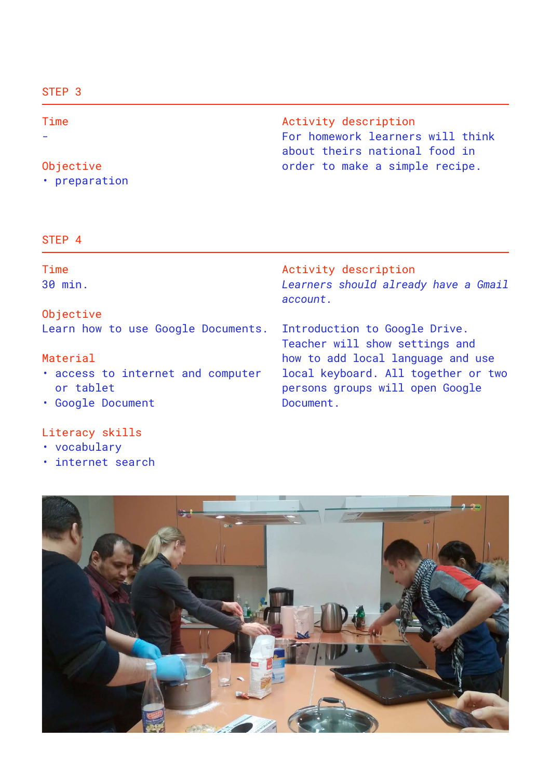#### STEP 3

Time -

#### Objective

• preparation

Activity description For homework learners will think about theirs national food in order to make a simple recipe.

#### STEP 4

| Time<br>30 min.                                                     | Activity description<br>Learners should already have a Gmail<br>account.            |
|---------------------------------------------------------------------|-------------------------------------------------------------------------------------|
| Objective                                                           |                                                                                     |
| Learn how to use Google Documents. Introduction to Google Drive.    | Teacher will show settings and                                                      |
| Material                                                            | how to add local language and use                                                   |
| . access to internet and computer<br>or tablet<br>• Google Document | local keyboard. All together or two<br>persons groups will open Google<br>Document. |
|                                                                     |                                                                                     |

### Literacy skills

- vocabulary
- internet search

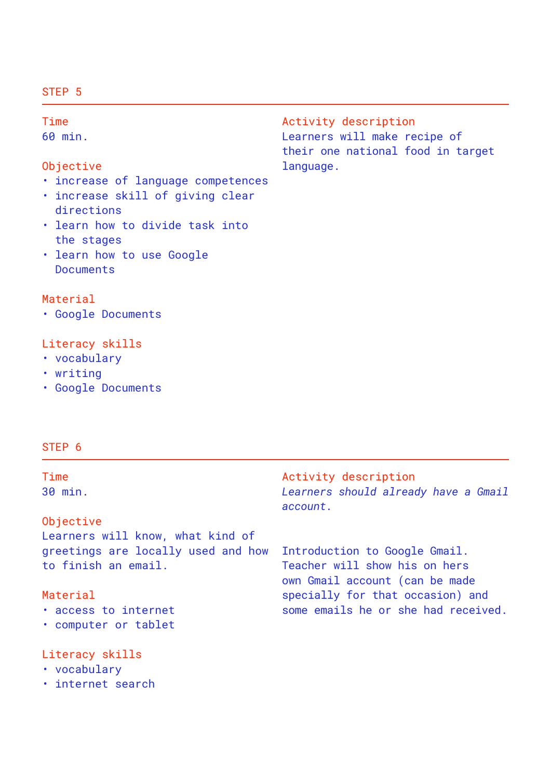#### STEP 5

Time 60 min. Objective • increase of language competences • increase skill of giving clear directions • learn how to divide task into the stages • learn how to use Google Documents Activity description Learners will make recipe of their one national food in target language.

#### Material

• Google Documents

#### Literacy skills

- vocabulary
- • writing
- • Google Documents

#### STEP 6

| Time<br>30 min.                                           | Activity description<br>Learners should already have a Gmail<br>account.                         |
|-----------------------------------------------------------|--------------------------------------------------------------------------------------------------|
| Objective                                                 |                                                                                                  |
| Learners will know, what kind of                          |                                                                                                  |
| greetings are locally used and how<br>to finish an email. | Introduction to Google Gmail.<br>Teacher will show his on hers<br>own Gmail account (can be made |
| Material                                                  | specially for that occasion) and                                                                 |
| . access to internet<br>• computer or tablet              | some emails he or she had received.                                                              |

#### Literacy skills

- vocabulary
- • internet search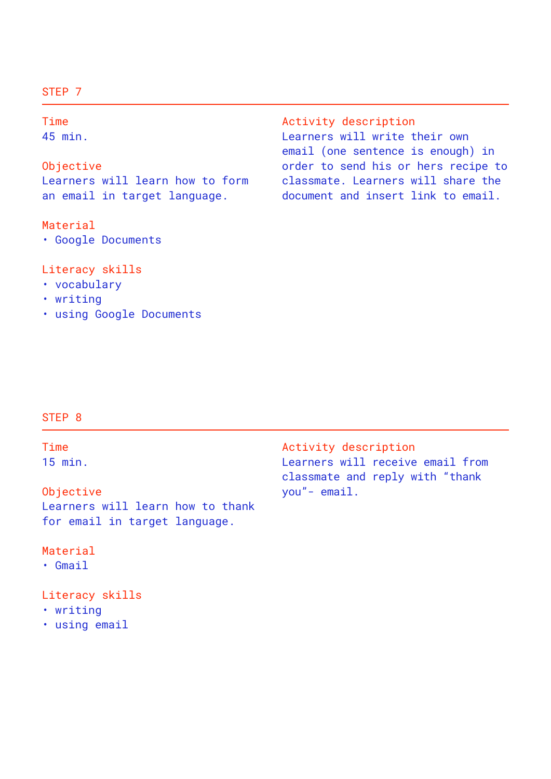#### STFP<sub>7</sub>

Time

45 min.

Objective Learners will learn how to form an email in target language.

#### Material

• Google Documents

#### Literacy skills

- vocabulary
- • writing
- • using Google Documents

#### Activity description Learners will write their own email (one sentence is enough) in order to send his or hers recipe to classmate. Learners will share the document and insert link to email.

#### STEP 8

Time 15 min.

Objective Learners will learn how to thank for email in target language.

#### Material

• Gmail

Literacy skills

- • writing
- • using email

Activity description Learners will receive email from classmate and reply with "thank you"- email.